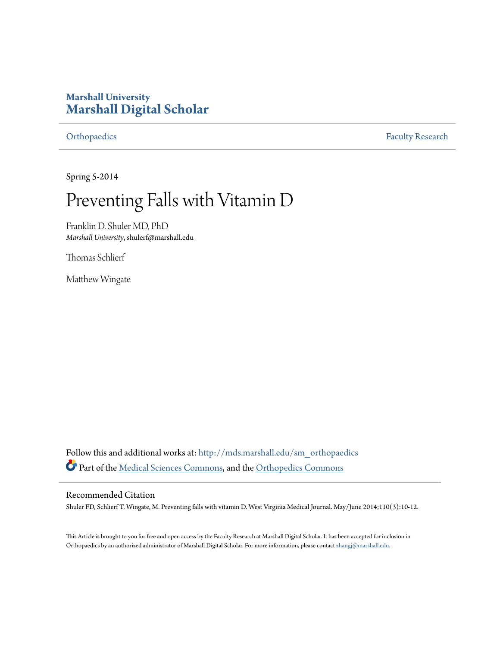# **Marshall University [Marshall Digital Scholar](http://mds.marshall.edu?utm_source=mds.marshall.edu%2Fsm_orthopaedics%2F9&utm_medium=PDF&utm_campaign=PDFCoverPages)**

[Orthopaedics](http://mds.marshall.edu/sm_orthopaedics?utm_source=mds.marshall.edu%2Fsm_orthopaedics%2F9&utm_medium=PDF&utm_campaign=PDFCoverPages) [Faculty Research](http://mds.marshall.edu/sm_faculty?utm_source=mds.marshall.edu%2Fsm_orthopaedics%2F9&utm_medium=PDF&utm_campaign=PDFCoverPages)

Spring 5-2014

# Preventing Falls with Vitamin D

Franklin D. Shuler MD, PhD *Marshall University*, shulerf@marshall.edu

Thomas Schlierf

Matthew Wingate

Follow this and additional works at: [http://mds.marshall.edu/sm\\_orthopaedics](http://mds.marshall.edu/sm_orthopaedics?utm_source=mds.marshall.edu%2Fsm_orthopaedics%2F9&utm_medium=PDF&utm_campaign=PDFCoverPages) Part of the [Medical Sciences Commons,](http://network.bepress.com/hgg/discipline/664?utm_source=mds.marshall.edu%2Fsm_orthopaedics%2F9&utm_medium=PDF&utm_campaign=PDFCoverPages) and the [Orthopedics Commons](http://network.bepress.com/hgg/discipline/696?utm_source=mds.marshall.edu%2Fsm_orthopaedics%2F9&utm_medium=PDF&utm_campaign=PDFCoverPages)

### Recommended Citation

Shuler FD, Schlierf T, Wingate, M. Preventing falls with vitamin D. West Virginia Medical Journal. May/June 2014;110(3):10-12.

This Article is brought to you for free and open access by the Faculty Research at Marshall Digital Scholar. It has been accepted for inclusion in Orthopaedics by an authorized administrator of Marshall Digital Scholar. For more information, please contact [zhangj@marshall.edu.](mailto:zhangj@marshall.edu)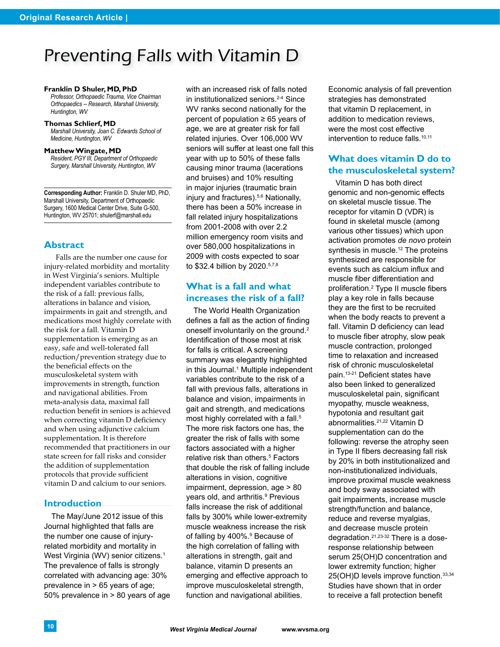# Preventing Falls with Vitamin D

#### **Franklin D Shuler, MD, PhD**

*Professor, Orthopaedic Trauma, Vice Chairman Orthopaedics -- Research, Marshall University, Huntington, WV*

#### **Thomas Schlierf, MD**

*Marshall University, Joan C. Edwards School of Medicine, Huntington, WV*

#### **Matthew Wingate, MD**

*Resident, PGY III, Department of Orthopaedic Surgery, Marshall University, Huntington, WV*

**Corresponding Author:** Franklin D. Shuler MD, PhD, Marshall University, Department of Orthopaedic Surgery, 1600 Medical Center Drive, Suite G-500, Huntington, WV 25701; shulerf@marshall.edu

#### **Abstract**

Falls are the number one cause for injury-related morbidity and mortality in West Virginia's seniors. Multiple independent variables contribute to the risk of a fall: previous falls, alterations in balance and vision, impairments in gait and strength, and medications most highly correlate with the risk for a fall. Vitamin D supplementation is emerging as an easy, safe and well-tolerated fall reduction/prevention strategy due to the beneficial effects on the musculoskeletal system with improvements in strength, function and navigational abilities. From meta-analysis data, maximal fall reduction benefit in seniors is achieved when correcting vitamin D deficiency and when using adjunctive calcium supplementation. It is therefore recommended that practitioners in our state screen for fall risks and consider the addition of supplementation protocols that provide sufficient vitamin D and calcium to our seniors.

#### **Introduction**

The May/June 2012 issue of this Journal highlighted that falls are the number one cause of injuryrelated morbidity and mortality in West Virginia (WV) senior citizens.<sup>1</sup> The prevalence of falls is strongly correlated with advancing age: 30% prevalence in > 65 years of age; 50% prevalence in > 80 years of age

with an increased risk of falls noted in institutionalized seniors.<sup>2-4</sup> Since WV ranks second nationally for the percent of population ≥ 65 years of age, we are at greater risk for fall related injuries. Over 106,000 WV seniors will suffer at least one fall this year with up to 50% of these falls causing minor trauma (lacerations and bruises) and 10% resulting in major injuries (traumatic brain injury and fractures).<sup>5,6</sup> Nationally, there has been a 50% increase in fall related injury hospitalizations from 2001-2008 with over 2.2 million emergency room visits and over 580,000 hospitalizations in 2009 with costs expected to soar to \$32.4 billion by 2020.5,7,8

# **What is a fall and what increases the risk of a fall?**

The World Health Organization defines a fall as the action of finding oneself involuntarily on the ground.<sup>2</sup> Identification of those most at risk for falls is critical. A screening summary was elegantly highlighted in this Journal.<sup>1</sup> Multiple independent variables contribute to the risk of a fall with previous falls, alterations in balance and vision, impairments in gait and strength, and medications most highly correlated with a fall.<sup>5</sup> The more risk factors one has, the greater the risk of falls with some factors associated with a higher relative risk than others.<sup>5</sup> Factors that double the risk of falling include alterations in vision, cognitive impairment, depression, age > 80 years old, and arthritis.<sup>9</sup> Previous falls increase the risk of additional falls by 300% while lower-extremity muscle weakness increase the risk of falling by 400%.<sup>9</sup> Because of the high correlation of falling with alterations in strength, gait and balance, vitamin D presents an emerging and effective approach to improve musculoskeletal strength, function and navigational abilities.

Economic analysis of fall prevention strategies has demonstrated that vitamin D replacement, in addition to medication reviews, were the most cost effective intervention to reduce falls.<sup>10,11</sup>

# **What does vitamin D do to the musculoskeletal system?**

Vitamin D has both direct genomic and non-genomic effects on skeletal muscle tissue.The receptor for vitamin D (VDR) is found in skeletal muscle (among various other tissues) which upon activation promotes *de novo* protein synthesis in muscle.<sup>12</sup> The proteins synthesized are responsible for events such as calcium influx and muscle fiber differentiation and proliferation.<sup>2</sup> Type II muscle fibers play a key role in falls because they are the first to be recruited when the body reacts to prevent a fall. Vitamin D deficiency can lead to muscle fiber atrophy, slow peak muscle contraction, prolonged time to relaxation and increased risk of chronic musculoskeletal pain.<sup>13-21</sup> Deficient states have also been linked to generalized musculoskeletal pain, significant myopathy, muscle weakness, hypotonia and resultant gait abnormalities.21,22 Vitamin D supplementation can do the following: reverse the atrophy seen in Type II fibers decreasing fall risk by 20% in both institutionalized and non-institutionalized individuals, improve proximal muscle weakness and body sway associated with gait impairments, increase muscle strength/function and balance, reduce and reverse myalgias, and decrease muscle protein degradation.21,23-32 There is a doseresponse relationship between serum 25(OH)D concentration and lower extremity function; higher 25(OH)D levels improve function.33,34 Studies have shown that in order to receive a fall protection benefit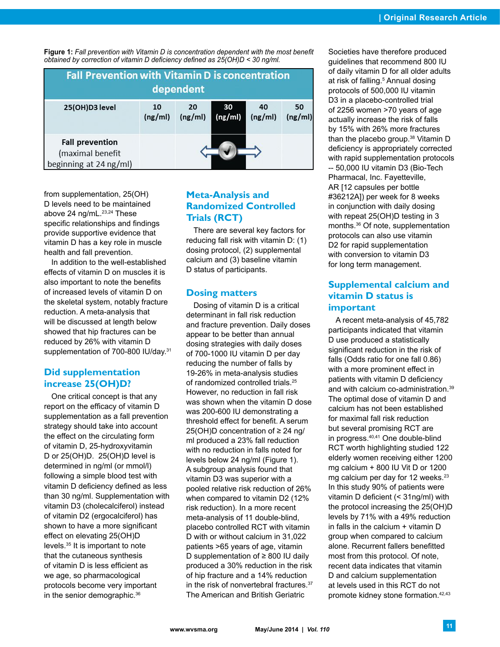**Figure 1:** *Fall prevention with Vitamin D is concentration dependent with the most benefit obtained by correction of vitamin D deficiency defined as 25(OH)D < 30 ng/ml.* 

| <b>Fall Prevention with Vitamin D is concentration</b><br>dependent  |               |               |               |               |               |
|----------------------------------------------------------------------|---------------|---------------|---------------|---------------|---------------|
| 25(OH)D3 level                                                       | 10<br>(ng/ml) | 20<br>(ng/ml) | 30<br>(ng/ml) | 40<br>(ng/ml) | 50<br>(ng/ml) |
| <b>Fall prevention</b><br>(maximal benefit<br>beginning at 24 ng/ml) |               |               |               |               |               |

from supplementation, 25(OH) D levels need to be maintained above 24 ng/mL.<sup>23,24</sup> These specific relationships and findings provide supportive evidence that vitamin D has a key role in muscle health and fall prevention.

In addition to the well-established effects of vitamin D on muscles it is also important to note the benefits of increased levels of vitamin D on the skeletal system, notably fracture reduction. A meta-analysis that will be discussed at length below showed that hip fractures can be reduced by 26% with vitamin D supplementation of 700-800 IU/day.<sup>31</sup>

# **Did supplementation increase 25(OH)D?**

One critical concept is that any report on the efficacy of vitamin D supplementation as a fall prevention strategy should take into account the effect on the circulating form of vitamin D, 25-hydroxyvitamin D or 25(OH)D. 25(OH)D level is determined in ng/ml (or mmol/l) following a simple blood test with vitamin D deficiency defined as less than 30 ng/ml. Supplementation with vitamin D3 (cholecalciferol) instead of vitamin D2 (ergocalciferol) has shown to have a more significant effect on elevating 25(OH)D levels.35 It is important to note that the cutaneous synthesis of vitamin D is less efficient as we age, so pharmacological protocols become very important in the senior demographic.36

# **Meta-Analysis and Randomized Controlled Trials (RCT)**

There are several key factors for reducing fall risk with vitamin D: (1) dosing protocol, (2) supplemental calcium and (3) baseline vitamin D status of participants.

### **Dosing matters**

Dosing of vitamin D is a critical determinant in fall risk reduction and fracture prevention. Daily doses appear to be better than annual dosing strategies with daily doses of 700-1000 IU vitamin D per day reducing the number of falls by 19-26% in meta-analysis studies of randomized controlled trials.25 However, no reduction in fall risk was shown when the vitamin D dose was 200-600 IU demonstrating a threshold effect for benefit. A serum 25(OH)D concentration of ≥ 24 ng/ ml produced a 23% fall reduction with no reduction in falls noted for levels below 24 ng/ml (Figure 1). A subgroup analysis found that vitamin D3 was superior with a pooled relative risk reduction of 26% when compared to vitamin D2 (12% risk reduction). In a more recent meta-analysis of 11 double-blind, placebo controlled RCT with vitamin D with or without calcium in 31,022 patients >65 years of age, vitamin D supplementation of ≥ 800 IU daily produced a 30% reduction in the risk of hip fracture and a 14% reduction in the risk of nonvertebral fractures.37 The American and British Geriatric

Societies have therefore produced guidelines that recommend 800 IU of daily vitamin D for all older adults at risk of falling.<sup>5</sup> Annual dosing protocols of 500,000 IU vitamin D3 in a placebo-controlled trial of 2256 women >70 years of age actually increase the risk of falls by 15% with 26% more fractures than the placebo group.<sup>38</sup> Vitamin D deficiency is appropriately corrected with rapid supplementation protocols -- 50,000 IU vitamin D3 (Bio-Tech Pharmacal, Inc. Fayetteville, AR [12 capsules per bottle #36212A]) per week for 8 weeks in conjunction with daily dosing with repeat 25(OH)D testing in 3 months.36 Of note, supplementation protocols can also use vitamin D2 for rapid supplementation with conversion to vitamin D3 for long term management.

# **Supplemental calcium and vitamin D status is important**

A recent meta-analysis of 45,782 participants indicated that vitamin D use produced a statistically significant reduction in the risk of falls (Odds ratio for one fall 0.86) with a more prominent effect in patients with vitamin D deficiency and with calcium co-administration.39 The optimal dose of vitamin D and calcium has not been established for maximal fall risk reduction but several promising RCT are in progress.40,41 One double-blind RCT worth highlighting studied 122 elderly women receiving either 1200 mg calcium + 800 IU Vit D or 1200 mg calcium per day for 12 weeks.<sup>23</sup> In this study 90% of patients were vitamin D deficient (< 31ng/ml) with the protocol increasing the 25(OH)D levels by 71% with a 49% reduction in falls in the calcium + vitamin D group when compared to calcium alone. Recurrent fallers benefitted most from this protocol. Of note, recent data indicates that vitamin D and calcium supplementation at levels used in this RCT do not promote kidney stone formation.42,43